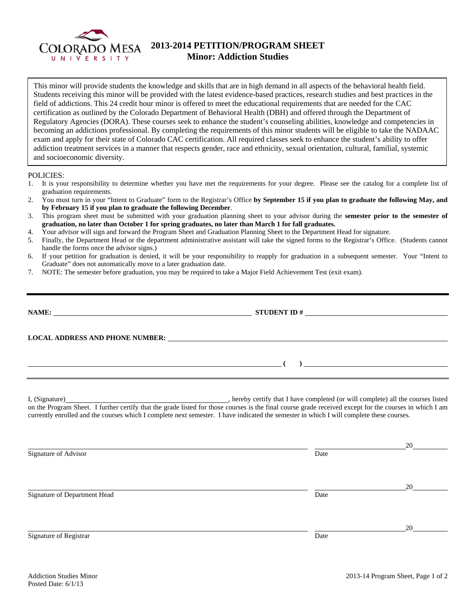

## **2013-2014 PETITION/PROGRAM SHEET Minor: Addiction Studies**

This minor will provide students the knowledge and skills that are in high demand in all aspects of the behavioral health field. Students receiving this minor will be provided with the latest evidence-based practices, research studies and best practices in the field of addictions. This 24 credit hour minor is offered to meet the educational requirements that are needed for the CAC certification as outlined by the Colorado Department of Behavioral Health (DBH) and offered through the Department of Regulatory Agencies (DORA). These courses seek to enhance the student's counseling abilities, knowledge and competencies in becoming an addictions professional. By completing the requirements of this minor students will be eligible to take the NADAAC exam and apply for their state of Colorado CAC certification. All required classes seek to enhance the student's ability to offer addiction treatment services in a manner that respects gender, race and ethnicity, sexual orientation, cultural, familial, systemic and socioeconomic diversity.

## POLICIES:

- 1. It is your responsibility to determine whether you have met the requirements for your degree. Please see the catalog for a complete list of graduation requirements.
- 2. You must turn in your "Intent to Graduate" form to the Registrar's Office **by September 15 if you plan to graduate the following May, and by February 15 if you plan to graduate the following December**.
- 3. This program sheet must be submitted with your graduation planning sheet to your advisor during the **semester prior to the semester of graduation, no later than October 1 for spring graduates, no later than March 1 for fall graduates.**
- 4. Your advisor will sign and forward the Program Sheet and Graduation Planning Sheet to the Department Head for signature.
- 5. Finally, the Department Head or the department administrative assistant will take the signed forms to the Registrar's Office. (Students cannot handle the forms once the advisor signs.)
- 6. If your petition for graduation is denied, it will be your responsibility to reapply for graduation in a subsequent semester. Your "Intent to Graduate" does not automatically move to a later graduation date.
- 7. NOTE: The semester before graduation, you may be required to take a Major Field Achievement Test (exit exam).

| <u> 1989 - Johann Barn, fransk politik amerikansk politik (</u>                                                                                                                                                                                                                                     |  |  |  |  |
|-----------------------------------------------------------------------------------------------------------------------------------------------------------------------------------------------------------------------------------------------------------------------------------------------------|--|--|--|--|
| on the Program Sheet. I further certify that the grade listed for those courses is the final course grade received except for the courses in which I am<br>currently enrolled and the courses which I complete next semester. I have indicated the semester in which I will complete these courses. |  |  |  |  |

<u>20</u> Signature of Advisor Date Number of Advisor <u>20</u> Signature of Department Head Date Date of Department Head Date <u>20</u> Signature of Registrar Date Date of Registrar Date of Registrar Date of Registrar Date of Registrar Date of Registrar Date of  $\mathbb{R}$